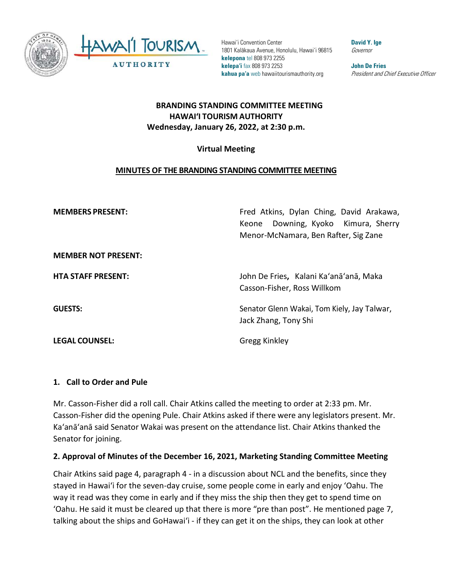

Hawai'i Convention Center 1801 Kalākaua Avenue, Honolulu, Hawai'i 96815 **kelepona** tel 808 973 2255 **kelepa'i** fax 808 973 2253 **kahua pa'a** web hawaiitourismauthority.org

**David Y. Ige** Governor

**John De Fries** President and Chief Executive Officer

## **BRANDING STANDING COMMITTEE MEETING HAWAI'I TOURISM AUTHORITY Wednesday, January 26, 2022, at 2:30 p.m.**

### **Virtual Meeting**

### **MINUTES OF THE BRANDING STANDING COMMITTEE MEETING**

**MEMBERS PRESENT:** Fred Atkins, Dylan Ching, David Arakawa, Keone Downing, Kyoko Kimura, Sherry Menor-McNamara, Ben Rafter, Sig Zane

**MEMBER NOT PRESENT:**

**LEGAL COUNSEL:** Gregg Kinkley

**HTA STAFF PRESENT:** John De Fries**,** Kalani Ka'anā'anā, Maka Casson-Fisher, Ross Willkom

**GUESTS:** Senator Glenn Wakai, Tom Kiely, Jay Talwar, Jack Zhang, Tony Shi

### **1. Call to Order and Pule**

Mr. Casson-Fisher did a roll call. Chair Atkins called the meeting to order at 2:33 pm. Mr. Casson-Fisher did the opening Pule. Chair Atkins asked if there were any legislators present. Mr. Ka'anā'anā said Senator Wakai was present on the attendance list. Chair Atkins thanked the Senator for joining.

### **2. Approval of Minutes of the December 16, 2021, Marketing Standing Committee Meeting**

Chair Atkins said page 4, paragraph 4 - in a discussion about NCL and the benefits, since they stayed in Hawaiʻi for the seven-day cruise, some people come in early and enjoy 'Oahu. The way it read was they come in early and if they miss the ship then they get to spend time on 'Oahu. He said it must be cleared up that there is more "pre than post". He mentioned page 7, talking about the ships and GoHawaiʻi - if they can get it on the ships, they can look at other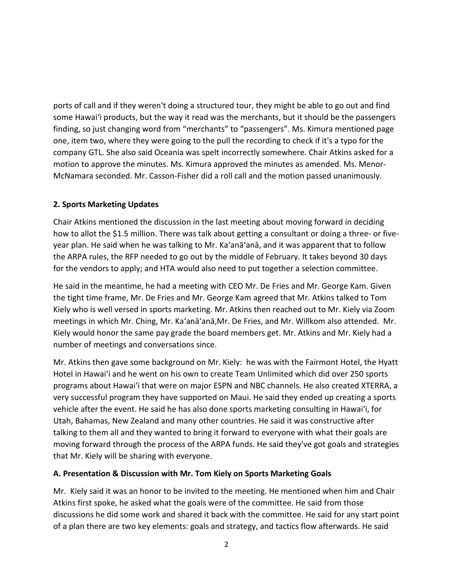ports of call and if they weren't doing a structured tour, they might be able to go out and find some Hawaiʻi products, but the way it read was the merchants, but it should be the passengers finding, so just changing word from "merchants" to "passengers". Ms. Kimura mentioned page one, item two, where they were going to the pull the recording to check if it's a typo for the company GTL. She also said Oceania was spelt incorrectly somewhere. Chair Atkins asked for a motion to approve the minutes. Ms. Kimura approved the minutes as amended. Ms. Menor-McNamara seconded. Mr. Casson-Fisher did a roll call and the motion passed unanimously.

#### **2. Sports Marketing Updates**

Chair Atkins mentioned the discussion in the last meeting about moving forward in deciding how to allot the \$1.5 million. There was talk about getting a consultant or doing a three- or fiveyear plan. He said when he was talking to Mr. Ka'anā'anā, and it was apparent that to follow the ARPA rules, the RFP needed to go out by the middle of February. It takes beyond 30 days for the vendors to apply; and HTA would also need to put together a selection committee.

He said in the meantime, he had a meeting with CEO Mr. De Fries and Mr. George Kam. Given the tight time frame, Mr. De Fries and Mr. George Kam agreed that Mr. Atkins talked to Tom Kiely who is well versed in sports marketing. Mr. Atkins then reached out to Mr. Kiely via Zoom meetings in which Mr. Ching, Mr. Ka'anā'anā,Mr. De Fries, and Mr. Willkom also attended. Mr. Kiely would honor the same pay grade the board members get. Mr. Atkins and Mr. Kiely had a number of meetings and conversations since.

Mr. Atkins then gave some background on Mr. Kiely: he was with the Fairmont Hotel, the Hyatt Hotel in Hawaiʻi and he went on his own to create Team Unlimited which did over 250 sports programs about Hawaiʻi that were on major ESPN and NBC channels. He also created XTERRA, a very successful program they have supported on Maui. He said they ended up creating a sports vehicle after the event. He said he has also done sports marketing consulting in Hawaiʻi, for Utah, Bahamas, New Zealand and many other countries. He said it was constructive after talking to them all and they wanted to bring it forward to everyone with what their goals are moving forward through the process of the ARPA funds. He said they've got goals and strategies that Mr. Kiely will be sharing with everyone.

#### **A. Presentation & Discussion with Mr. Tom Kiely on Sports Marketing Goals**

Mr. Kiely said it was an honor to be invited to the meeting. He mentioned when him and Chair Atkins first spoke, he asked what the goals were of the committee. He said from those discussions he did some work and shared it back with the committee. He said for any start point of a plan there are two key elements: goals and strategy, and tactics flow afterwards. He said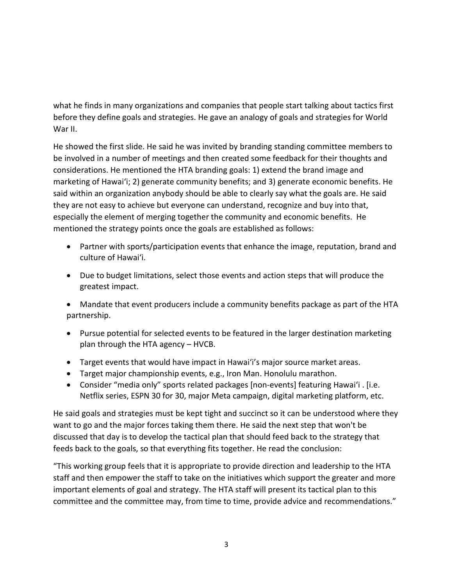what he finds in many organizations and companies that people start talking about tactics first before they define goals and strategies. He gave an analogy of goals and strategies for World War II.

He showed the first slide. He said he was invited by branding standing committee members to be involved in a number of meetings and then created some feedback for their thoughts and considerations. He mentioned the HTA branding goals: 1) extend the brand image and marketing of Hawaiʻi; 2) generate community benefits; and 3) generate economic benefits. He said within an organization anybody should be able to clearly say what the goals are. He said they are not easy to achieve but everyone can understand, recognize and buy into that, especially the element of merging together the community and economic benefits. He mentioned the strategy points once the goals are established as follows:

- Partner with sports/participation events that enhance the image, reputation, brand and culture of Hawaiʻi.
- Due to budget limitations, select those events and action steps that will produce the greatest impact.
- Mandate that event producers include a community benefits package as part of the HTA partnership.
- Pursue potential for selected events to be featured in the larger destination marketing plan through the HTA agency – HVCB.
- Target events that would have impact in Hawaiʻi's major source market areas.
- Target major championship events, e.g., Iron Man. Honolulu marathon.
- Consider "media only" sports related packages [non-events] featuring Hawaiʻi . [i.e. Netflix series, ESPN 30 for 30, major Meta campaign, digital marketing platform, etc.

He said goals and strategies must be kept tight and succinct so it can be understood where they want to go and the major forces taking them there. He said the next step that won't be discussed that day is to develop the tactical plan that should feed back to the strategy that feeds back to the goals, so that everything fits together. He read the conclusion:

"This working group feels that it is appropriate to provide direction and leadership to the HTA staff and then empower the staff to take on the initiatives which support the greater and more important elements of goal and strategy. The HTA staff will present its tactical plan to this committee and the committee may, from time to time, provide advice and recommendations."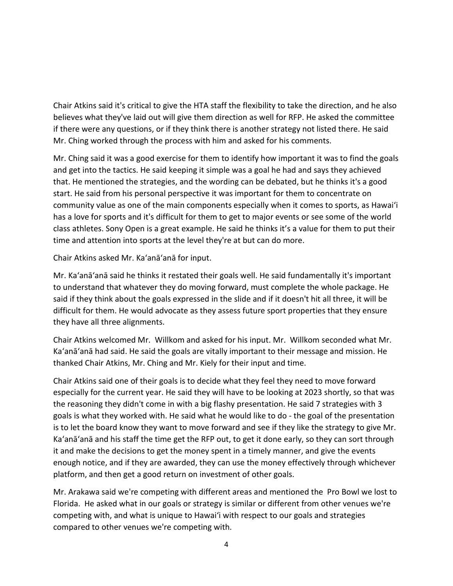Chair Atkins said it's critical to give the HTA staff the flexibility to take the direction, and he also believes what they've laid out will give them direction as well for RFP. He asked the committee if there were any questions, or if they think there is another strategy not listed there. He said Mr. Ching worked through the process with him and asked for his comments.

Mr. Ching said it was a good exercise for them to identify how important it was to find the goals and get into the tactics. He said keeping it simple was a goal he had and says they achieved that. He mentioned the strategies, and the wording can be debated, but he thinks it's a good start. He said from his personal perspective it was important for them to concentrate on community value as one of the main components especially when it comes to sports, as Hawaiʻi has a love for sports and it's difficult for them to get to major events or see some of the world class athletes. Sony Open is a great example. He said he thinks it's a value for them to put their time and attention into sports at the level they're at but can do more.

Chair Atkins asked Mr. Ka'anā'anā for input.

Mr. Ka'anā'anā said he thinks it restated their goals well. He said fundamentally it's important to understand that whatever they do moving forward, must complete the whole package. He said if they think about the goals expressed in the slide and if it doesn't hit all three, it will be difficult for them. He would advocate as they assess future sport properties that they ensure they have all three alignments.

Chair Atkins welcomed Mr. Willkom and asked for his input. Mr. Willkom seconded what Mr. Ka'anā'anā had said. He said the goals are vitally important to their message and mission. He thanked Chair Atkins, Mr. Ching and Mr. Kiely for their input and time.

Chair Atkins said one of their goals is to decide what they feel they need to move forward especially for the current year. He said they will have to be looking at 2023 shortly, so that was the reasoning they didn't come in with a big flashy presentation. He said 7 strategies with 3 goals is what they worked with. He said what he would like to do - the goal of the presentation is to let the board know they want to move forward and see if they like the strategy to give Mr. Ka'anā'anā and his staff the time get the RFP out, to get it done early, so they can sort through it and make the decisions to get the money spent in a timely manner, and give the events enough notice, and if they are awarded, they can use the money effectively through whichever platform, and then get a good return on investment of other goals.

Mr. Arakawa said we're competing with different areas and mentioned the Pro Bowl we lost to Florida. He asked what in our goals or strategy is similar or different from other venues we're competing with, and what is unique to Hawaiʻi with respect to our goals and strategies compared to other venues we're competing with.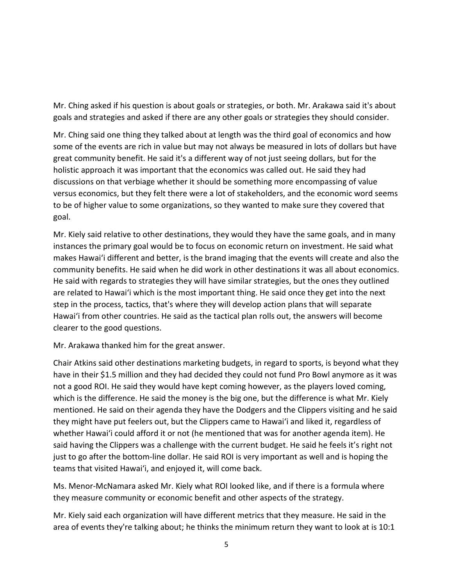Mr. Ching asked if his question is about goals or strategies, or both. Mr. Arakawa said it's about goals and strategies and asked if there are any other goals or strategies they should consider.

Mr. Ching said one thing they talked about at length was the third goal of economics and how some of the events are rich in value but may not always be measured in lots of dollars but have great community benefit. He said it's a different way of not just seeing dollars, but for the holistic approach it was important that the economics was called out. He said they had discussions on that verbiage whether it should be something more encompassing of value versus economics, but they felt there were a lot of stakeholders, and the economic word seems to be of higher value to some organizations, so they wanted to make sure they covered that goal.

Mr. Kiely said relative to other destinations, they would they have the same goals, and in many instances the primary goal would be to focus on economic return on investment. He said what makes Hawaiʻi different and better, is the brand imaging that the events will create and also the community benefits. He said when he did work in other destinations it was all about economics. He said with regards to strategies they will have similar strategies, but the ones they outlined are related to Hawaiʻi which is the most important thing. He said once they get into the next step in the process, tactics, that's where they will develop action plans that will separate Hawaiʻi from other countries. He said as the tactical plan rolls out, the answers will become clearer to the good questions.

Mr. Arakawa thanked him for the great answer.

Chair Atkins said other destinations marketing budgets, in regard to sports, is beyond what they have in their \$1.5 million and they had decided they could not fund Pro Bowl anymore as it was not a good ROI. He said they would have kept coming however, as the players loved coming, which is the difference. He said the money is the big one, but the difference is what Mr. Kiely mentioned. He said on their agenda they have the Dodgers and the Clippers visiting and he said they might have put feelers out, but the Clippers came to Hawaiʻi and liked it, regardless of whether Hawaiʻi could afford it or not (he mentioned that was for another agenda item). He said having the Clippers was a challenge with the current budget. He said he feels it's right not just to go after the bottom-line dollar. He said ROI is very important as well and is hoping the teams that visited Hawaiʻi, and enjoyed it, will come back.

Ms. Menor-McNamara asked Mr. Kiely what ROI looked like, and if there is a formula where they measure community or economic benefit and other aspects of the strategy.

Mr. Kiely said each organization will have different metrics that they measure. He said in the area of events they're talking about; he thinks the minimum return they want to look at is 10:1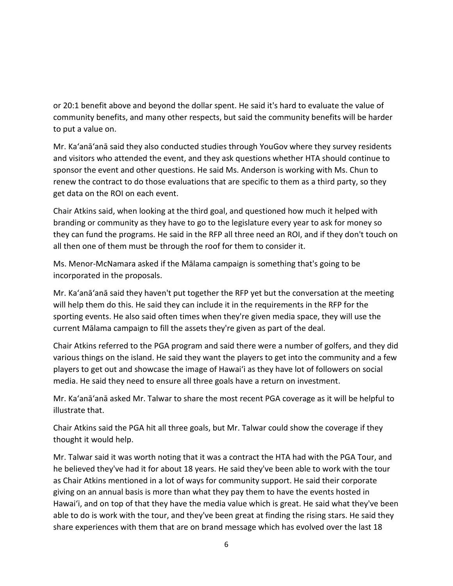or 20:1 benefit above and beyond the dollar spent. He said it's hard to evaluate the value of community benefits, and many other respects, but said the community benefits will be harder to put a value on.

Mr. Ka'anā'anā said they also conducted studies through YouGov where they survey residents and visitors who attended the event, and they ask questions whether HTA should continue to sponsor the event and other questions. He said Ms. Anderson is working with Ms. Chun to renew the contract to do those evaluations that are specific to them as a third party, so they get data on the ROI on each event.

Chair Atkins said, when looking at the third goal, and questioned how much it helped with branding or community as they have to go to the legislature every year to ask for money so they can fund the programs. He said in the RFP all three need an ROI, and if they don't touch on all then one of them must be through the roof for them to consider it.

Ms. Menor-McNamara asked if the Mālama campaign is something that's going to be incorporated in the proposals.

Mr. Ka'anā'anā said they haven't put together the RFP yet but the conversation at the meeting will help them do this. He said they can include it in the requirements in the RFP for the sporting events. He also said often times when they're given media space, they will use the current Mālama campaign to fill the assets they're given as part of the deal.

Chair Atkins referred to the PGA program and said there were a number of golfers, and they did various things on the island. He said they want the players to get into the community and a few players to get out and showcase the image of Hawaiʻi as they have lot of followers on social media. He said they need to ensure all three goals have a return on investment.

Mr. Ka'anā'anā asked Mr. Talwar to share the most recent PGA coverage as it will be helpful to illustrate that.

Chair Atkins said the PGA hit all three goals, but Mr. Talwar could show the coverage if they thought it would help.

Mr. Talwar said it was worth noting that it was a contract the HTA had with the PGA Tour, and he believed they've had it for about 18 years. He said they've been able to work with the tour as Chair Atkins mentioned in a lot of ways for community support. He said their corporate giving on an annual basis is more than what they pay them to have the events hosted in Hawaiʻi, and on top of that they have the media value which is great. He said what they've been able to do is work with the tour, and they've been great at finding the rising stars. He said they share experiences with them that are on brand message which has evolved over the last 18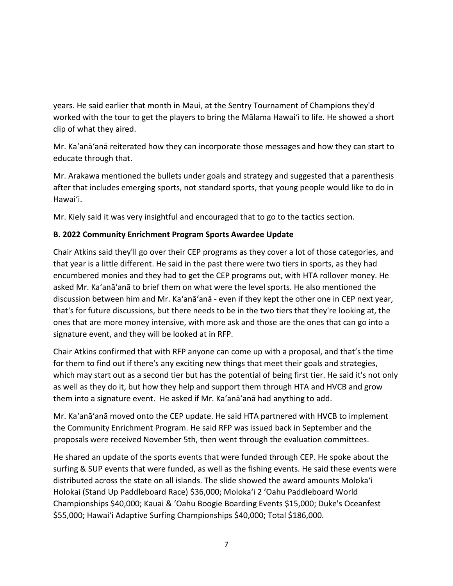years. He said earlier that month in Maui, at the Sentry Tournament of Champions they'd worked with the tour to get the players to bring the Mālama Hawaiʻi to life. He showed a short clip of what they aired.

Mr. Ka'anā'anā reiterated how they can incorporate those messages and how they can start to educate through that.

Mr. Arakawa mentioned the bullets under goals and strategy and suggested that a parenthesis after that includes emerging sports, not standard sports, that young people would like to do in Hawaiʻi.

Mr. Kiely said it was very insightful and encouraged that to go to the tactics section.

### **B. 2022 Community Enrichment Program Sports Awardee Update**

Chair Atkins said they'll go over their CEP programs as they cover a lot of those categories, and that year is a little different. He said in the past there were two tiers in sports, as they had encumbered monies and they had to get the CEP programs out, with HTA rollover money. He asked Mr. Ka'anā'anā to brief them on what were the level sports. He also mentioned the discussion between him and Mr. Ka'anā'anā - even if they kept the other one in CEP next year, that's for future discussions, but there needs to be in the two tiers that they're looking at, the ones that are more money intensive, with more ask and those are the ones that can go into a signature event, and they will be looked at in RFP.

Chair Atkins confirmed that with RFP anyone can come up with a proposal, and that's the time for them to find out if there's any exciting new things that meet their goals and strategies, which may start out as a second tier but has the potential of being first tier. He said it's not only as well as they do it, but how they help and support them through HTA and HVCB and grow them into a signature event. He asked if Mr. Ka'anā'anā had anything to add.

Mr. Ka'anā'anā moved onto the CEP update. He said HTA partnered with HVCB to implement the Community Enrichment Program. He said RFP was issued back in September and the proposals were received November 5th, then went through the evaluation committees.

He shared an update of the sports events that were funded through CEP. He spoke about the surfing & SUP events that were funded, as well as the fishing events. He said these events were distributed across the state on all islands. The slide showed the award amounts Moloka'i Holokai (Stand Up Paddleboard Race) \$36,000; Moloka'i 2 ʻOahu Paddleboard World Championships \$40,000; Kauai & 'Oahu Boogie Boarding Events \$15,000; Duke's Oceanfest \$55,000; Hawaiʻi Adaptive Surfing Championships \$40,000; Total \$186,000.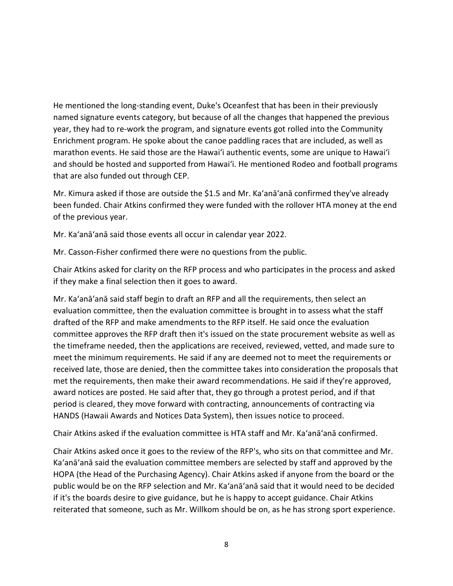He mentioned the long-standing event, Duke's Oceanfest that has been in their previously named signature events category, but because of all the changes that happened the previous year, they had to re-work the program, and signature events got rolled into the Community Enrichment program. He spoke about the canoe paddling races that are included, as well as marathon events. He said those are the Hawaiʻi authentic events, some are unique to Hawaiʻi and should be hosted and supported from Hawaiʻi. He mentioned Rodeo and football programs that are also funded out through CEP.

Mr. Kimura asked if those are outside the \$1.5 and Mr. Ka'anā'anā confirmed they've already been funded. Chair Atkins confirmed they were funded with the rollover HTA money at the end of the previous year.

Mr. Ka'anā'anā said those events all occur in calendar year 2022.

Mr. Casson-Fisher confirmed there were no questions from the public.

Chair Atkins asked for clarity on the RFP process and who participates in the process and asked if they make a final selection then it goes to award.

Mr. Ka'anā'anā said staff begin to draft an RFP and all the requirements, then select an evaluation committee, then the evaluation committee is brought in to assess what the staff drafted of the RFP and make amendments to the RFP itself. He said once the evaluation committee approves the RFP draft then it's issued on the state procurement website as well as the timeframe needed, then the applications are received, reviewed, vetted, and made sure to meet the minimum requirements. He said if any are deemed not to meet the requirements or received late, those are denied, then the committee takes into consideration the proposals that met the requirements, then make their award recommendations. He said if they're approved, award notices are posted. He said after that, they go through a protest period, and if that period is cleared, they move forward with contracting, announcements of contracting via HANDS (Hawaii Awards and Notices Data System), then issues notice to proceed.

Chair Atkins asked if the evaluation committee is HTA staff and Mr. Ka'anā'anā confirmed.

Chair Atkins asked once it goes to the review of the RFP's, who sits on that committee and Mr. Ka'anā'anā said the evaluation committee members are selected by staff and approved by the HOPA (the Head of the Purchasing Agency). Chair Atkins asked if anyone from the board or the public would be on the RFP selection and Mr. Ka'anā'anā said that it would need to be decided if it's the boards desire to give guidance, but he is happy to accept guidance. Chair Atkins reiterated that someone, such as Mr. Willkom should be on, as he has strong sport experience.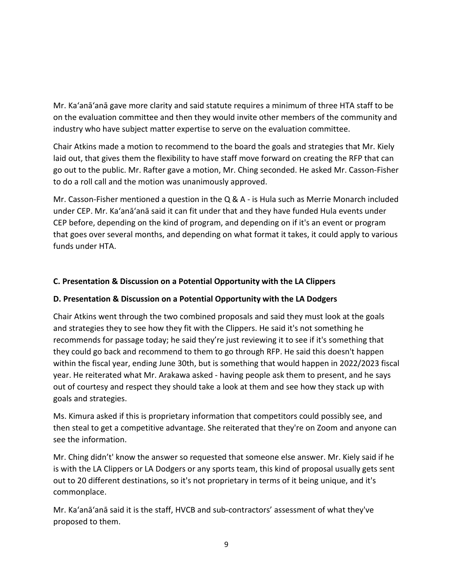Mr. Ka'anā'anā gave more clarity and said statute requires a minimum of three HTA staff to be on the evaluation committee and then they would invite other members of the community and industry who have subject matter expertise to serve on the evaluation committee.

Chair Atkins made a motion to recommend to the board the goals and strategies that Mr. Kiely laid out, that gives them the flexibility to have staff move forward on creating the RFP that can go out to the public. Mr. Rafter gave a motion, Mr. Ching seconded. He asked Mr. Casson-Fisher to do a roll call and the motion was unanimously approved.

Mr. Casson-Fisher mentioned a question in the Q & A - is Hula such as Merrie Monarch included under CEP. Mr. Ka'anā'anā said it can fit under that and they have funded Hula events under CEP before, depending on the kind of program, and depending on if it's an event or program that goes over several months, and depending on what format it takes, it could apply to various funds under HTA.

# **C. Presentation & Discussion on a Potential Opportunity with the LA Clippers**

### **D. Presentation & Discussion on a Potential Opportunity with the LA Dodgers**

Chair Atkins went through the two combined proposals and said they must look at the goals and strategies they to see how they fit with the Clippers. He said it's not something he recommends for passage today; he said they're just reviewing it to see if it's something that they could go back and recommend to them to go through RFP. He said this doesn't happen within the fiscal year, ending June 30th, but is something that would happen in 2022/2023 fiscal year. He reiterated what Mr. Arakawa asked - having people ask them to present, and he says out of courtesy and respect they should take a look at them and see how they stack up with goals and strategies.

Ms. Kimura asked if this is proprietary information that competitors could possibly see, and then steal to get a competitive advantage. She reiterated that they're on Zoom and anyone can see the information.

Mr. Ching didn't' know the answer so requested that someone else answer. Mr. Kiely said if he is with the LA Clippers or LA Dodgers or any sports team, this kind of proposal usually gets sent out to 20 different destinations, so it's not proprietary in terms of it being unique, and it's commonplace.

Mr. Ka'anā'anā said it is the staff, HVCB and sub-contractors' assessment of what they've proposed to them.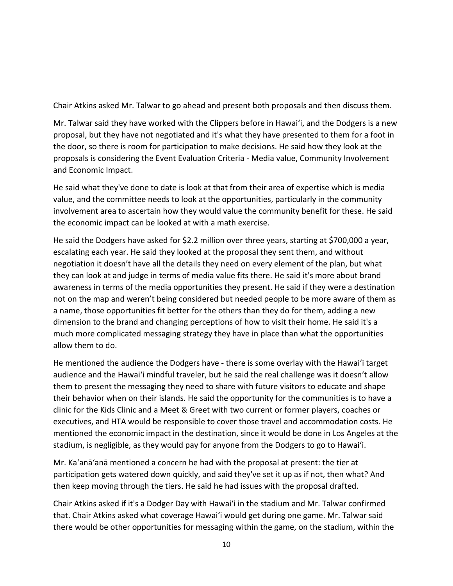Chair Atkins asked Mr. Talwar to go ahead and present both proposals and then discuss them.

Mr. Talwar said they have worked with the Clippers before in Hawaiʻi, and the Dodgers is a new proposal, but they have not negotiated and it's what they have presented to them for a foot in the door, so there is room for participation to make decisions. He said how they look at the proposals is considering the Event Evaluation Criteria - Media value, Community Involvement and Economic Impact.

He said what they've done to date is look at that from their area of expertise which is media value, and the committee needs to look at the opportunities, particularly in the community involvement area to ascertain how they would value the community benefit for these. He said the economic impact can be looked at with a math exercise.

He said the Dodgers have asked for \$2.2 million over three years, starting at \$700,000 a year, escalating each year. He said they looked at the proposal they sent them, and without negotiation it doesn't have all the details they need on every element of the plan, but what they can look at and judge in terms of media value fits there. He said it's more about brand awareness in terms of the media opportunities they present. He said if they were a destination not on the map and weren't being considered but needed people to be more aware of them as a name, those opportunities fit better for the others than they do for them, adding a new dimension to the brand and changing perceptions of how to visit their home. He said it's a much more complicated messaging strategy they have in place than what the opportunities allow them to do.

He mentioned the audience the Dodgers have - there is some overlay with the Hawaiʻi target audience and the Hawaiʻi mindful traveler, but he said the real challenge was it doesn't allow them to present the messaging they need to share with future visitors to educate and shape their behavior when on their islands. He said the opportunity for the communities is to have a clinic for the Kids Clinic and a Meet & Greet with two current or former players, coaches or executives, and HTA would be responsible to cover those travel and accommodation costs. He mentioned the economic impact in the destination, since it would be done in Los Angeles at the stadium, is negligible, as they would pay for anyone from the Dodgers to go to Hawaiʻi.

Mr. Ka'anā'anā mentioned a concern he had with the proposal at present: the tier at participation gets watered down quickly, and said they've set it up as if not, then what? And then keep moving through the tiers. He said he had issues with the proposal drafted.

Chair Atkins asked if it's a Dodger Day with Hawaiʻi in the stadium and Mr. Talwar confirmed that. Chair Atkins asked what coverage Hawaiʻi would get during one game. Mr. Talwar said there would be other opportunities for messaging within the game, on the stadium, within the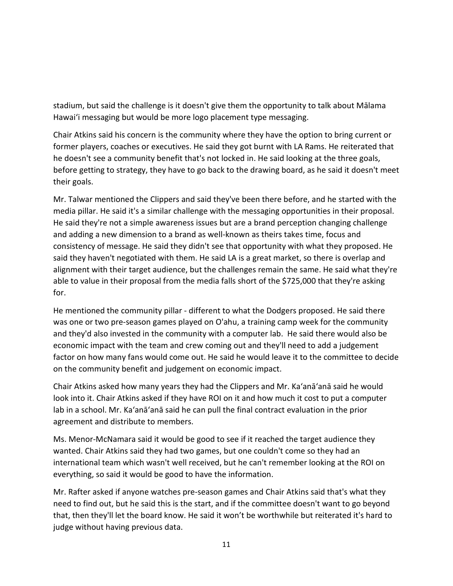stadium, but said the challenge is it doesn't give them the opportunity to talk about Mālama Hawaiʻi messaging but would be more logo placement type messaging.

Chair Atkins said his concern is the community where they have the option to bring current or former players, coaches or executives. He said they got burnt with LA Rams. He reiterated that he doesn't see a community benefit that's not locked in. He said looking at the three goals, before getting to strategy, they have to go back to the drawing board, as he said it doesn't meet their goals.

Mr. Talwar mentioned the Clippers and said they've been there before, and he started with the media pillar. He said it's a similar challenge with the messaging opportunities in their proposal. He said they're not a simple awareness issues but are a brand perception changing challenge and adding a new dimension to a brand as well-known as theirs takes time, focus and consistency of message. He said they didn't see that opportunity with what they proposed. He said they haven't negotiated with them. He said LA is a great market, so there is overlap and alignment with their target audience, but the challenges remain the same. He said what they're able to value in their proposal from the media falls short of the \$725,000 that they're asking for.

He mentioned the community pillar - different to what the Dodgers proposed. He said there was one or two pre-season games played on O'ahu, a training camp week for the community and they'd also invested in the community with a computer lab. He said there would also be economic impact with the team and crew coming out and they'll need to add a judgement factor on how many fans would come out. He said he would leave it to the committee to decide on the community benefit and judgement on economic impact.

Chair Atkins asked how many years they had the Clippers and Mr. Ka'anā'anā said he would look into it. Chair Atkins asked if they have ROI on it and how much it cost to put a computer lab in a school. Mr. Ka'anā'anā said he can pull the final contract evaluation in the prior agreement and distribute to members.

Ms. Menor-McNamara said it would be good to see if it reached the target audience they wanted. Chair Atkins said they had two games, but one couldn't come so they had an international team which wasn't well received, but he can't remember looking at the ROI on everything, so said it would be good to have the information.

Mr. Rafter asked if anyone watches pre-season games and Chair Atkins said that's what they need to find out, but he said this is the start, and if the committee doesn't want to go beyond that, then they'll let the board know. He said it won't be worthwhile but reiterated it's hard to judge without having previous data.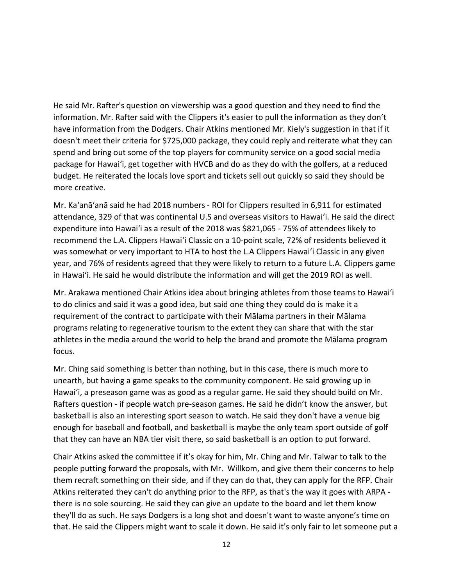He said Mr. Rafter's question on viewership was a good question and they need to find the information. Mr. Rafter said with the Clippers it's easier to pull the information as they don't have information from the Dodgers. Chair Atkins mentioned Mr. Kiely's suggestion in that if it doesn't meet their criteria for \$725,000 package, they could reply and reiterate what they can spend and bring out some of the top players for community service on a good social media package for Hawaiʻi, get together with HVCB and do as they do with the golfers, at a reduced budget. He reiterated the locals love sport and tickets sell out quickly so said they should be more creative.

Mr. Ka'anā'anā said he had 2018 numbers - ROI for Clippers resulted in 6,911 for estimated attendance, 329 of that was continental U.S and overseas visitors to Hawaiʻi. He said the direct expenditure into Hawaiʻi as a result of the 2018 was \$821,065 - 75% of attendees likely to recommend the L.A. Clippers Hawaiʻi Classic on a 10-point scale, 72% of residents believed it was somewhat or very important to HTA to host the L.A Clippers Hawaiʻi Classic in any given year, and 76% of residents agreed that they were likely to return to a future L.A. Clippers game in Hawaiʻi. He said he would distribute the information and will get the 2019 ROI as well.

Mr. Arakawa mentioned Chair Atkins idea about bringing athletes from those teams to Hawaiʻi to do clinics and said it was a good idea, but said one thing they could do is make it a requirement of the contract to participate with their Mālama partners in their Mālama programs relating to regenerative tourism to the extent they can share that with the star athletes in the media around the world to help the brand and promote the Mālama program focus.

Mr. Ching said something is better than nothing, but in this case, there is much more to unearth, but having a game speaks to the community component. He said growing up in Hawaiʻi, a preseason game was as good as a regular game. He said they should build on Mr. Rafters question - if people watch pre-season games. He said he didn't know the answer, but basketball is also an interesting sport season to watch. He said they don't have a venue big enough for baseball and football, and basketball is maybe the only team sport outside of golf that they can have an NBA tier visit there, so said basketball is an option to put forward.

Chair Atkins asked the committee if it's okay for him, Mr. Ching and Mr. Talwar to talk to the people putting forward the proposals, with Mr. Willkom, and give them their concerns to help them recraft something on their side, and if they can do that, they can apply for the RFP. Chair Atkins reiterated they can't do anything prior to the RFP, as that's the way it goes with ARPA there is no sole sourcing. He said they can give an update to the board and let them know they'll do as such. He says Dodgers is a long shot and doesn't want to waste anyone's time on that. He said the Clippers might want to scale it down. He said it's only fair to let someone put a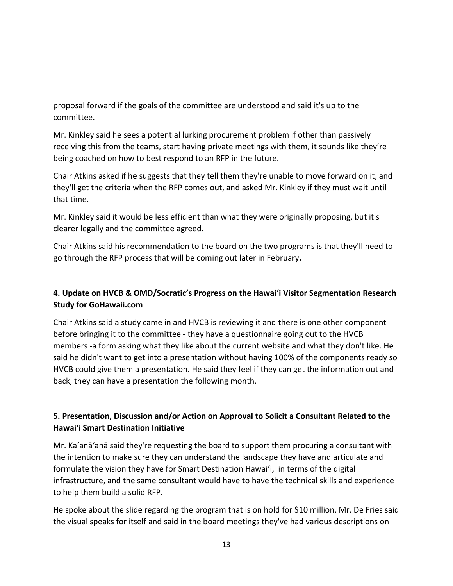proposal forward if the goals of the committee are understood and said it's up to the committee.

Mr. Kinkley said he sees a potential lurking procurement problem if other than passively receiving this from the teams, start having private meetings with them, it sounds like they're being coached on how to best respond to an RFP in the future.

Chair Atkins asked if he suggests that they tell them they're unable to move forward on it, and they'll get the criteria when the RFP comes out, and asked Mr. Kinkley if they must wait until that time.

Mr. Kinkley said it would be less efficient than what they were originally proposing, but it's clearer legally and the committee agreed.

Chair Atkins said his recommendation to the board on the two programs is that they'll need to go through the RFP process that will be coming out later in February**.** 

# **4. Update on HVCB & OMD/Socratic's Progress on the Hawaiʻi Visitor Segmentation Research Study for GoHawaii.com**

Chair Atkins said a study came in and HVCB is reviewing it and there is one other component before bringing it to the committee - they have a questionnaire going out to the HVCB members -a form asking what they like about the current website and what they don't like. He said he didn't want to get into a presentation without having 100% of the components ready so HVCB could give them a presentation. He said they feel if they can get the information out and back, they can have a presentation the following month.

# **5. Presentation, Discussion and/or Action on Approval to Solicit a Consultant Related to the Hawai'i Smart Destination Initiative**

Mr. Ka'anā'anā said they're requesting the board to support them procuring a consultant with the intention to make sure they can understand the landscape they have and articulate and formulate the vision they have for Smart Destination Hawaiʻi, in terms of the digital infrastructure, and the same consultant would have to have the technical skills and experience to help them build a solid RFP.

He spoke about the slide regarding the program that is on hold for \$10 million. Mr. De Fries said the visual speaks for itself and said in the board meetings they've had various descriptions on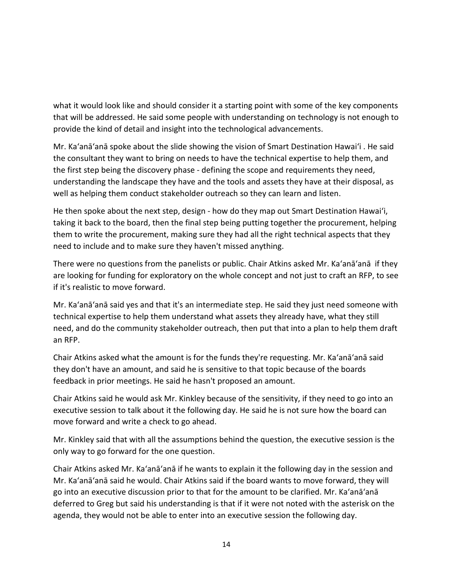what it would look like and should consider it a starting point with some of the key components that will be addressed. He said some people with understanding on technology is not enough to provide the kind of detail and insight into the technological advancements.

Mr. Ka'anā'anā spoke about the slide showing the vision of Smart Destination Hawaiʻi . He said the consultant they want to bring on needs to have the technical expertise to help them, and the first step being the discovery phase - defining the scope and requirements they need, understanding the landscape they have and the tools and assets they have at their disposal, as well as helping them conduct stakeholder outreach so they can learn and listen.

He then spoke about the next step, design - how do they map out Smart Destination Hawaiʻi, taking it back to the board, then the final step being putting together the procurement, helping them to write the procurement, making sure they had all the right technical aspects that they need to include and to make sure they haven't missed anything.

There were no questions from the panelists or public. Chair Atkins asked Mr. Ka'anā'anā if they are looking for funding for exploratory on the whole concept and not just to craft an RFP, to see if it's realistic to move forward.

Mr. Ka'anā'anā said yes and that it's an intermediate step. He said they just need someone with technical expertise to help them understand what assets they already have, what they still need, and do the community stakeholder outreach, then put that into a plan to help them draft an RFP.

Chair Atkins asked what the amount is for the funds they're requesting. Mr. Ka'anā'anā said they don't have an amount, and said he is sensitive to that topic because of the boards feedback in prior meetings. He said he hasn't proposed an amount.

Chair Atkins said he would ask Mr. Kinkley because of the sensitivity, if they need to go into an executive session to talk about it the following day. He said he is not sure how the board can move forward and write a check to go ahead.

Mr. Kinkley said that with all the assumptions behind the question, the executive session is the only way to go forward for the one question.

Chair Atkins asked Mr. Ka'anā'anā if he wants to explain it the following day in the session and Mr. Ka'anā'anā said he would. Chair Atkins said if the board wants to move forward, they will go into an executive discussion prior to that for the amount to be clarified. Mr. Ka'anā'anā deferred to Greg but said his understanding is that if it were not noted with the asterisk on the agenda, they would not be able to enter into an executive session the following day.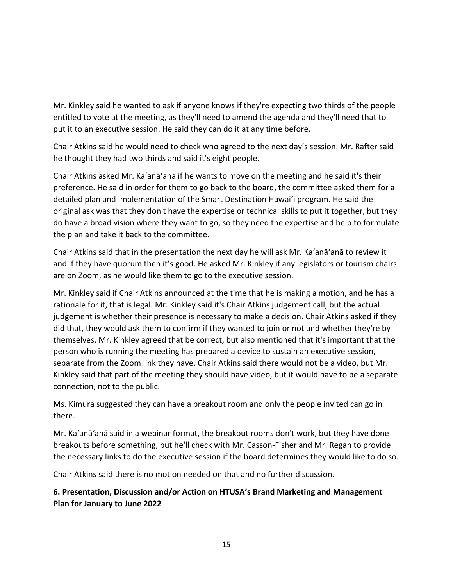Mr. Kinkley said he wanted to ask if anyone knows if they're expecting two thirds of the people entitled to vote at the meeting, as they'll need to amend the agenda and they'll need that to put it to an executive session. He said they can do it at any time before.

Chair Atkins said he would need to check who agreed to the next day's session. Mr. Rafter said he thought they had two thirds and said it's eight people.

Chair Atkins asked Mr. Ka'anā'anā if he wants to move on the meeting and he said it's their preference. He said in order for them to go back to the board, the committee asked them for a detailed plan and implementation of the Smart Destination Hawaiʻi program. He said the original ask was that they don't have the expertise or technical skills to put it together, but they do have a broad vision where they want to go, so they need the expertise and help to formulate the plan and take it back to the committee.

Chair Atkins said that in the presentation the next day he will ask Mr. Ka'anā'anā to review it and if they have quorum then it's good. He asked Mr. Kinkley if any legislators or tourism chairs are on Zoom, as he would like them to go to the executive session.

Mr. Kinkley said if Chair Atkins announced at the time that he is making a motion, and he has a rationale for it, that is legal. Mr. Kinkley said it's Chair Atkins judgement call, but the actual judgement is whether their presence is necessary to make a decision. Chair Atkins asked if they did that, they would ask them to confirm if they wanted to join or not and whether they're by themselves. Mr. Kinkley agreed that be correct, but also mentioned that it's important that the person who is running the meeting has prepared a device to sustain an executive session, separate from the Zoom link they have. Chair Atkins said there would not be a video, but Mr. Kinkley said that part of the meeting they should have video, but it would have to be a separate connection, not to the public.

Ms. Kimura suggested they can have a breakout room and only the people invited can go in there.

Mr. Ka'anā'anā said in a webinar format, the breakout rooms don't work, but they have done breakouts before something, but he'll check with Mr. Casson-Fisher and Mr. Regan to provide the necessary links to do the executive session if the board determines they would like to do so.

Chair Atkins said there is no motion needed on that and no further discussion.

# **6. Presentation, Discussion and/or Action on HTUSA's Brand Marketing and Management Plan for January to June 2022**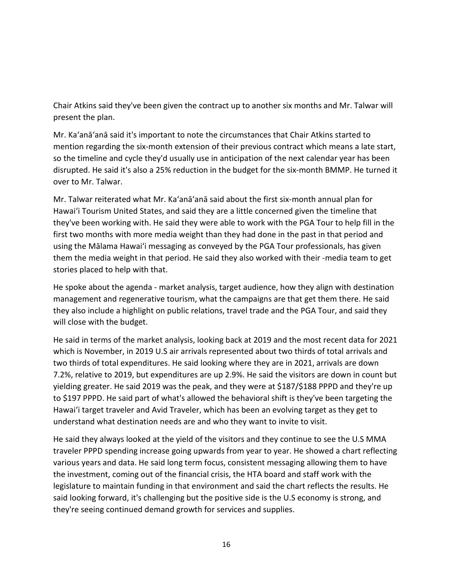Chair Atkins said they've been given the contract up to another six months and Mr. Talwar will present the plan.

Mr. Ka'anā'anā said it's important to note the circumstances that Chair Atkins started to mention regarding the six-month extension of their previous contract which means a late start, so the timeline and cycle they'd usually use in anticipation of the next calendar year has been disrupted. He said it's also a 25% reduction in the budget for the six-month BMMP. He turned it over to Mr. Talwar.

Mr. Talwar reiterated what Mr. Ka'anā'anā said about the first six-month annual plan for Hawaiʻi Tourism United States, and said they are a little concerned given the timeline that they've been working with. He said they were able to work with the PGA Tour to help fill in the first two months with more media weight than they had done in the past in that period and using the Mālama Hawaiʻi messaging as conveyed by the PGA Tour professionals, has given them the media weight in that period. He said they also worked with their -media team to get stories placed to help with that.

He spoke about the agenda - market analysis, target audience, how they align with destination management and regenerative tourism, what the campaigns are that get them there. He said they also include a highlight on public relations, travel trade and the PGA Tour, and said they will close with the budget.

He said in terms of the market analysis, looking back at 2019 and the most recent data for 2021 which is November, in 2019 U.S air arrivals represented about two thirds of total arrivals and two thirds of total expenditures. He said looking where they are in 2021, arrivals are down 7.2%, relative to 2019, but expenditures are up 2.9%. He said the visitors are down in count but yielding greater. He said 2019 was the peak, and they were at \$187/\$188 PPPD and they're up to \$197 PPPD. He said part of what's allowed the behavioral shift is they've been targeting the Hawaiʻi target traveler and Avid Traveler, which has been an evolving target as they get to understand what destination needs are and who they want to invite to visit.

He said they always looked at the yield of the visitors and they continue to see the U.S MMA traveler PPPD spending increase going upwards from year to year. He showed a chart reflecting various years and data. He said long term focus, consistent messaging allowing them to have the investment, coming out of the financial crisis, the HTA board and staff work with the legislature to maintain funding in that environment and said the chart reflects the results. He said looking forward, it's challenging but the positive side is the U.S economy is strong, and they're seeing continued demand growth for services and supplies.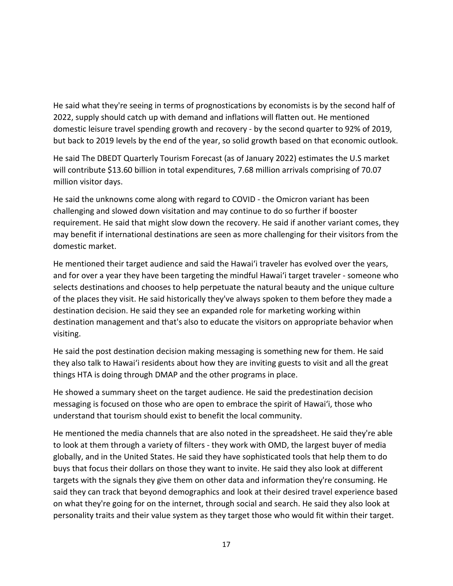He said what they're seeing in terms of prognostications by economists is by the second half of 2022, supply should catch up with demand and inflations will flatten out. He mentioned domestic leisure travel spending growth and recovery - by the second quarter to 92% of 2019, but back to 2019 levels by the end of the year, so solid growth based on that economic outlook.

He said The DBEDT Quarterly Tourism Forecast (as of January 2022) estimates the U.S market will contribute \$13.60 billion in total expenditures, 7.68 million arrivals comprising of 70.07 million visitor days.

He said the unknowns come along with regard to COVID - the Omicron variant has been challenging and slowed down visitation and may continue to do so further if booster requirement. He said that might slow down the recovery. He said if another variant comes, they may benefit if international destinations are seen as more challenging for their visitors from the domestic market.

He mentioned their target audience and said the Hawaiʻi traveler has evolved over the years, and for over a year they have been targeting the mindful Hawaiʻi target traveler - someone who selects destinations and chooses to help perpetuate the natural beauty and the unique culture of the places they visit. He said historically they've always spoken to them before they made a destination decision. He said they see an expanded role for marketing working within destination management and that's also to educate the visitors on appropriate behavior when visiting.

He said the post destination decision making messaging is something new for them. He said they also talk to Hawaiʻi residents about how they are inviting guests to visit and all the great things HTA is doing through DMAP and the other programs in place.

He showed a summary sheet on the target audience. He said the predestination decision messaging is focused on those who are open to embrace the spirit of Hawaiʻi, those who understand that tourism should exist to benefit the local community.

He mentioned the media channels that are also noted in the spreadsheet. He said they're able to look at them through a variety of filters - they work with OMD, the largest buyer of media globally, and in the United States. He said they have sophisticated tools that help them to do buys that focus their dollars on those they want to invite. He said they also look at different targets with the signals they give them on other data and information they're consuming. He said they can track that beyond demographics and look at their desired travel experience based on what they're going for on the internet, through social and search. He said they also look at personality traits and their value system as they target those who would fit within their target.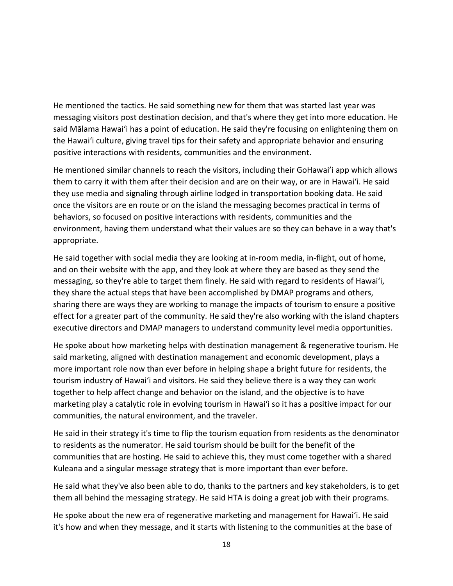He mentioned the tactics. He said something new for them that was started last year was messaging visitors post destination decision, and that's where they get into more education. He said Mālama Hawaiʻi has a point of education. He said they're focusing on enlightening them on the Hawaiʻi culture, giving travel tips for their safety and appropriate behavior and ensuring positive interactions with residents, communities and the environment.

He mentioned similar channels to reach the visitors, including their GoHawai'i app which allows them to carry it with them after their decision and are on their way, or are in Hawaiʻi. He said they use media and signaling through airline lodged in transportation booking data. He said once the visitors are en route or on the island the messaging becomes practical in terms of behaviors, so focused on positive interactions with residents, communities and the environment, having them understand what their values are so they can behave in a way that's appropriate.

He said together with social media they are looking at in-room media, in-flight, out of home, and on their website with the app, and they look at where they are based as they send the messaging, so they're able to target them finely. He said with regard to residents of Hawaiʻi, they share the actual steps that have been accomplished by DMAP programs and others, sharing there are ways they are working to manage the impacts of tourism to ensure a positive effect for a greater part of the community. He said they're also working with the island chapters executive directors and DMAP managers to understand community level media opportunities.

He spoke about how marketing helps with destination management & regenerative tourism. He said marketing, aligned with destination management and economic development, plays a more important role now than ever before in helping shape a bright future for residents, the tourism industry of Hawai'i and visitors. He said they believe there is a way they can work together to help affect change and behavior on the island, and the objective is to have marketing play a catalytic role in evolving tourism in Hawai'i so it has a positive impact for our communities, the natural environment, and the traveler.

He said in their strategy it's time to flip the tourism equation from residents as the denominator to residents as the numerator. He said tourism should be built for the benefit of the communities that are hosting. He said to achieve this, they must come together with a shared Kuleana and a singular message strategy that is more important than ever before.

He said what they've also been able to do, thanks to the partners and key stakeholders, is to get them all behind the messaging strategy. He said HTA is doing a great job with their programs.

He spoke about the new era of regenerative marketing and management for Hawaiʻi. He said it's how and when they message, and it starts with listening to the communities at the base of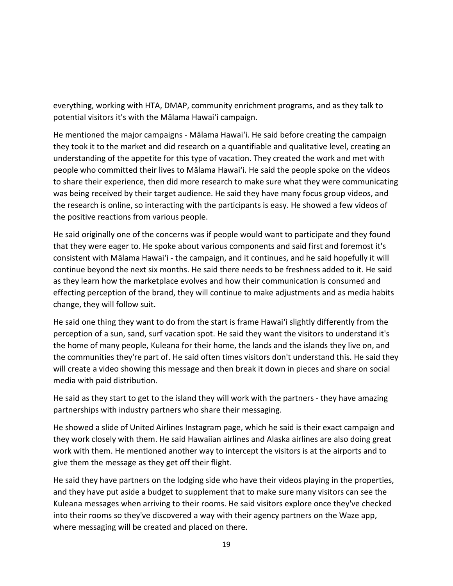everything, working with HTA, DMAP, community enrichment programs, and as they talk to potential visitors it's with the Mālama Hawaiʻi campaign.

He mentioned the major campaigns - Mālama Hawaiʻi. He said before creating the campaign they took it to the market and did research on a quantifiable and qualitative level, creating an understanding of the appetite for this type of vacation. They created the work and met with people who committed their lives to Mālama Hawaiʻi. He said the people spoke on the videos to share their experience, then did more research to make sure what they were communicating was being received by their target audience. He said they have many focus group videos, and the research is online, so interacting with the participants is easy. He showed a few videos of the positive reactions from various people.

He said originally one of the concerns was if people would want to participate and they found that they were eager to. He spoke about various components and said first and foremost it's consistent with Mālama Hawaiʻi - the campaign, and it continues, and he said hopefully it will continue beyond the next six months. He said there needs to be freshness added to it. He said as they learn how the marketplace evolves and how their communication is consumed and effecting perception of the brand, they will continue to make adjustments and as media habits change, they will follow suit.

He said one thing they want to do from the start is frame Hawaiʻi slightly differently from the perception of a sun, sand, surf vacation spot. He said they want the visitors to understand it's the home of many people, Kuleana for their home, the lands and the islands they live on, and the communities they're part of. He said often times visitors don't understand this. He said they will create a video showing this message and then break it down in pieces and share on social media with paid distribution.

He said as they start to get to the island they will work with the partners - they have amazing partnerships with industry partners who share their messaging.

He showed a slide of United Airlines Instagram page, which he said is their exact campaign and they work closely with them. He said Hawaiian airlines and Alaska airlines are also doing great work with them. He mentioned another way to intercept the visitors is at the airports and to give them the message as they get off their flight.

He said they have partners on the lodging side who have their videos playing in the properties, and they have put aside a budget to supplement that to make sure many visitors can see the Kuleana messages when arriving to their rooms. He said visitors explore once they've checked into their rooms so they've discovered a way with their agency partners on the Waze app, where messaging will be created and placed on there.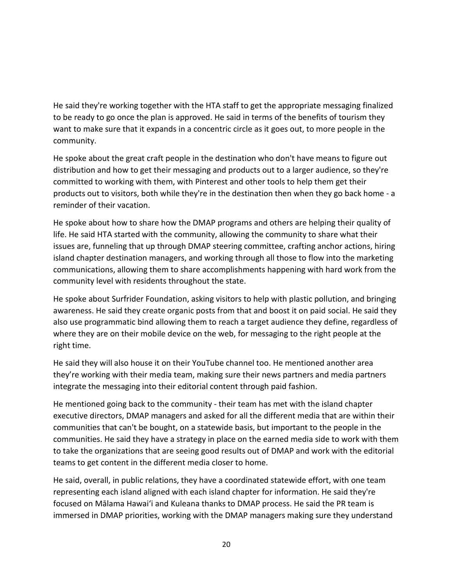He said they're working together with the HTA staff to get the appropriate messaging finalized to be ready to go once the plan is approved. He said in terms of the benefits of tourism they want to make sure that it expands in a concentric circle as it goes out, to more people in the community.

He spoke about the great craft people in the destination who don't have means to figure out distribution and how to get their messaging and products out to a larger audience, so they're committed to working with them, with Pinterest and other tools to help them get their products out to visitors, both while they're in the destination then when they go back home - a reminder of their vacation.

He spoke about how to share how the DMAP programs and others are helping their quality of life. He said HTA started with the community, allowing the community to share what their issues are, funneling that up through DMAP steering committee, crafting anchor actions, hiring island chapter destination managers, and working through all those to flow into the marketing communications, allowing them to share accomplishments happening with hard work from the community level with residents throughout the state.

He spoke about Surfrider Foundation, asking visitors to help with plastic pollution, and bringing awareness. He said they create organic posts from that and boost it on paid social. He said they also use programmatic bind allowing them to reach a target audience they define, regardless of where they are on their mobile device on the web, for messaging to the right people at the right time.

He said they will also house it on their YouTube channel too. He mentioned another area they're working with their media team, making sure their news partners and media partners integrate the messaging into their editorial content through paid fashion.

He mentioned going back to the community - their team has met with the island chapter executive directors, DMAP managers and asked for all the different media that are within their communities that can't be bought, on a statewide basis, but important to the people in the communities. He said they have a strategy in place on the earned media side to work with them to take the organizations that are seeing good results out of DMAP and work with the editorial teams to get content in the different media closer to home.

He said, overall, in public relations, they have a coordinated statewide effort, with one team representing each island aligned with each island chapter for information. He said they're focused on Mālama Hawai'i and Kuleana thanks to DMAP process. He said the PR team is immersed in DMAP priorities, working with the DMAP managers making sure they understand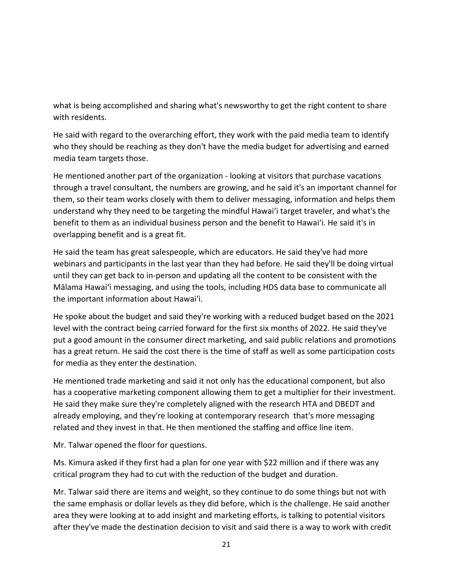what is being accomplished and sharing what's newsworthy to get the right content to share with residents.

He said with regard to the overarching effort, they work with the paid media team to identify who they should be reaching as they don't have the media budget for advertising and earned media team targets those.

He mentioned another part of the organization - looking at visitors that purchase vacations through a travel consultant, the numbers are growing, and he said it's an important channel for them, so their team works closely with them to deliver messaging, information and helps them understand why they need to be targeting the mindful Hawaiʻi target traveler, and what's the benefit to them as an individual business person and the benefit to Hawaiʻi. He said it's in overlapping benefit and is a great fit.

He said the team has great salespeople, which are educators. He said they've had more webinars and participants in the last year than they had before. He said they'll be doing virtual until they can get back to in-person and updating all the content to be consistent with the Mālama Hawaiʻi messaging, and using the tools, including HDS data base to communicate all the important information about Hawaiʻi.

He spoke about the budget and said they're working with a reduced budget based on the 2021 level with the contract being carried forward for the first six months of 2022. He said they've put a good amount in the consumer direct marketing, and said public relations and promotions has a great return. He said the cost there is the time of staff as well as some participation costs for media as they enter the destination.

He mentioned trade marketing and said it not only has the educational component, but also has a cooperative marketing component allowing them to get a multiplier for their investment. He said they make sure they're completely aligned with the research HTA and DBEDT and already employing, and they're looking at contemporary research that's more messaging related and they invest in that. He then mentioned the staffing and office line item.

Mr. Talwar opened the floor for questions.

Ms. Kimura asked if they first had a plan for one year with \$22 million and if there was any critical program they had to cut with the reduction of the budget and duration.

Mr. Talwar said there are items and weight, so they continue to do some things but not with the same emphasis or dollar levels as they did before, which is the challenge. He said another area they were looking at to add insight and marketing efforts, is talking to potential visitors after they've made the destination decision to visit and said there is a way to work with credit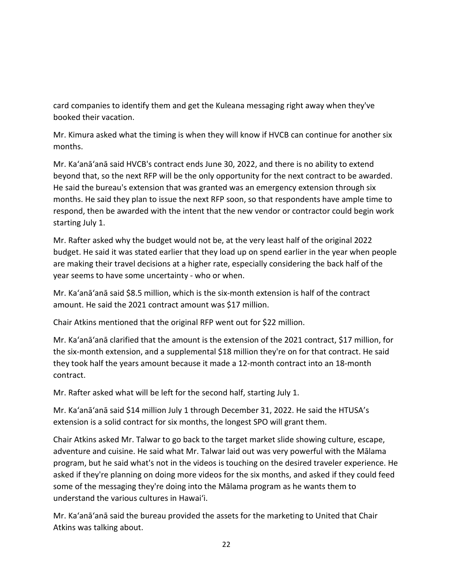card companies to identify them and get the Kuleana messaging right away when they've booked their vacation.

Mr. Kimura asked what the timing is when they will know if HVCB can continue for another six months.

Mr. Ka'anā'anā said HVCB's contract ends June 30, 2022, and there is no ability to extend beyond that, so the next RFP will be the only opportunity for the next contract to be awarded. He said the bureau's extension that was granted was an emergency extension through six months. He said they plan to issue the next RFP soon, so that respondents have ample time to respond, then be awarded with the intent that the new vendor or contractor could begin work starting July 1.

Mr. Rafter asked why the budget would not be, at the very least half of the original 2022 budget. He said it was stated earlier that they load up on spend earlier in the year when people are making their travel decisions at a higher rate, especially considering the back half of the year seems to have some uncertainty - who or when.

Mr. Ka'anā'anā said \$8.5 million, which is the six-month extension is half of the contract amount. He said the 2021 contract amount was \$17 million.

Chair Atkins mentioned that the original RFP went out for \$22 million.

Mr. Ka'anā'anā clarified that the amount is the extension of the 2021 contract, \$17 million, for the six-month extension, and a supplemental \$18 million they're on for that contract. He said they took half the years amount because it made a 12-month contract into an 18-month contract.

Mr. Rafter asked what will be left for the second half, starting July 1.

Mr. Ka'anā'anā said \$14 million July 1 through December 31, 2022. He said the HTUSA's extension is a solid contract for six months, the longest SPO will grant them.

Chair Atkins asked Mr. Talwar to go back to the target market slide showing culture, escape, adventure and cuisine. He said what Mr. Talwar laid out was very powerful with the Mālama program, but he said what's not in the videos is touching on the desired traveler experience. He asked if they're planning on doing more videos for the six months, and asked if they could feed some of the messaging they're doing into the Mālama program as he wants them to understand the various cultures in Hawaiʻi.

Mr. Ka'anā'anā said the bureau provided the assets for the marketing to United that Chair Atkins was talking about.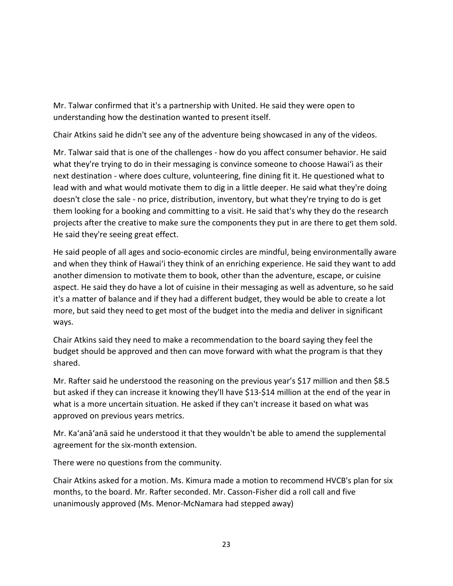Mr. Talwar confirmed that it's a partnership with United. He said they were open to understanding how the destination wanted to present itself.

Chair Atkins said he didn't see any of the adventure being showcased in any of the videos.

Mr. Talwar said that is one of the challenges - how do you affect consumer behavior. He said what they're trying to do in their messaging is convince someone to choose Hawaiʻi as their next destination - where does culture, volunteering, fine dining fit it. He questioned what to lead with and what would motivate them to dig in a little deeper. He said what they're doing doesn't close the sale - no price, distribution, inventory, but what they're trying to do is get them looking for a booking and committing to a visit. He said that's why they do the research projects after the creative to make sure the components they put in are there to get them sold. He said they're seeing great effect.

He said people of all ages and socio-economic circles are mindful, being environmentally aware and when they think of Hawaiʻi they think of an enriching experience. He said they want to add another dimension to motivate them to book, other than the adventure, escape, or cuisine aspect. He said they do have a lot of cuisine in their messaging as well as adventure, so he said it's a matter of balance and if they had a different budget, they would be able to create a lot more, but said they need to get most of the budget into the media and deliver in significant ways.

Chair Atkins said they need to make a recommendation to the board saying they feel the budget should be approved and then can move forward with what the program is that they shared.

Mr. Rafter said he understood the reasoning on the previous year's \$17 million and then \$8.5 but asked if they can increase it knowing they'll have \$13-\$14 million at the end of the year in what is a more uncertain situation. He asked if they can't increase it based on what was approved on previous years metrics.

Mr. Ka'anā'anā said he understood it that they wouldn't be able to amend the supplemental agreement for the six-month extension.

There were no questions from the community.

Chair Atkins asked for a motion. Ms. Kimura made a motion to recommend HVCB's plan for six months, to the board. Mr. Rafter seconded. Mr. Casson-Fisher did a roll call and five unanimously approved (Ms. Menor-McNamara had stepped away)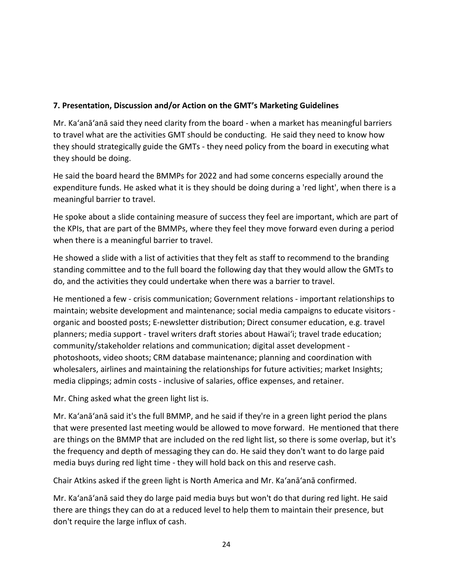## **7. Presentation, Discussion and/or Action on the GMT's Marketing Guidelines**

Mr. Ka'anā'anā said they need clarity from the board - when a market has meaningful barriers to travel what are the activities GMT should be conducting. He said they need to know how they should strategically guide the GMTs - they need policy from the board in executing what they should be doing.

He said the board heard the BMMPs for 2022 and had some concerns especially around the expenditure funds. He asked what it is they should be doing during a 'red light', when there is a meaningful barrier to travel.

He spoke about a slide containing measure of success they feel are important, which are part of the KPIs, that are part of the BMMPs, where they feel they move forward even during a period when there is a meaningful barrier to travel.

He showed a slide with a list of activities that they felt as staff to recommend to the branding standing committee and to the full board the following day that they would allow the GMTs to do, and the activities they could undertake when there was a barrier to travel.

He mentioned a few - crisis communication; Government relations - important relationships to maintain; website development and maintenance; social media campaigns to educate visitors organic and boosted posts; E-newsletter distribution; Direct consumer education, e.g. travel planners; media support - travel writers draft stories about Hawaiʻi; travel trade education; community/stakeholder relations and communication; digital asset development photoshoots, video shoots; CRM database maintenance; planning and coordination with wholesalers, airlines and maintaining the relationships for future activities; market Insights; media clippings; admin costs - inclusive of salaries, office expenses, and retainer.

Mr. Ching asked what the green light list is.

Mr. Ka'anā'anā said it's the full BMMP, and he said if they're in a green light period the plans that were presented last meeting would be allowed to move forward. He mentioned that there are things on the BMMP that are included on the red light list, so there is some overlap, but it's the frequency and depth of messaging they can do. He said they don't want to do large paid media buys during red light time - they will hold back on this and reserve cash.

Chair Atkins asked if the green light is North America and Mr. Ka'anā'anā confirmed.

Mr. Ka'anā'anā said they do large paid media buys but won't do that during red light. He said there are things they can do at a reduced level to help them to maintain their presence, but don't require the large influx of cash.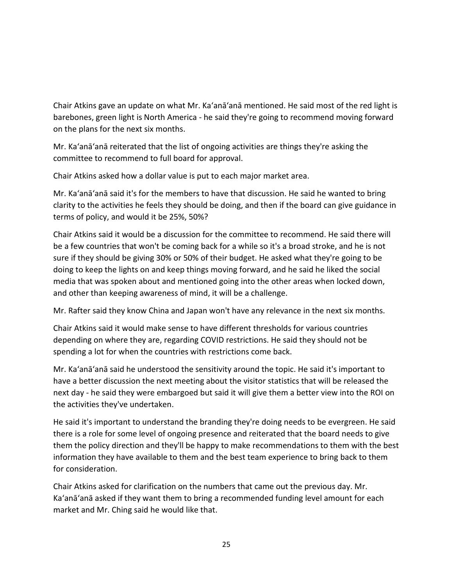Chair Atkins gave an update on what Mr. Ka'anā'anā mentioned. He said most of the red light is barebones, green light is North America - he said they're going to recommend moving forward on the plans for the next six months.

Mr. Ka'anā'anā reiterated that the list of ongoing activities are things they're asking the committee to recommend to full board for approval.

Chair Atkins asked how a dollar value is put to each major market area.

Mr. Ka'anā'anā said it's for the members to have that discussion. He said he wanted to bring clarity to the activities he feels they should be doing, and then if the board can give guidance in terms of policy, and would it be 25%, 50%?

Chair Atkins said it would be a discussion for the committee to recommend. He said there will be a few countries that won't be coming back for a while so it's a broad stroke, and he is not sure if they should be giving 30% or 50% of their budget. He asked what they're going to be doing to keep the lights on and keep things moving forward, and he said he liked the social media that was spoken about and mentioned going into the other areas when locked down, and other than keeping awareness of mind, it will be a challenge.

Mr. Rafter said they know China and Japan won't have any relevance in the next six months.

Chair Atkins said it would make sense to have different thresholds for various countries depending on where they are, regarding COVID restrictions. He said they should not be spending a lot for when the countries with restrictions come back.

Mr. Ka'anā'anā said he understood the sensitivity around the topic. He said it's important to have a better discussion the next meeting about the visitor statistics that will be released the next day - he said they were embargoed but said it will give them a better view into the ROI on the activities they've undertaken.

He said it's important to understand the branding they're doing needs to be evergreen. He said there is a role for some level of ongoing presence and reiterated that the board needs to give them the policy direction and they'll be happy to make recommendations to them with the best information they have available to them and the best team experience to bring back to them for consideration.

Chair Atkins asked for clarification on the numbers that came out the previous day. Mr. Ka'anā'anā asked if they want them to bring a recommended funding level amount for each market and Mr. Ching said he would like that.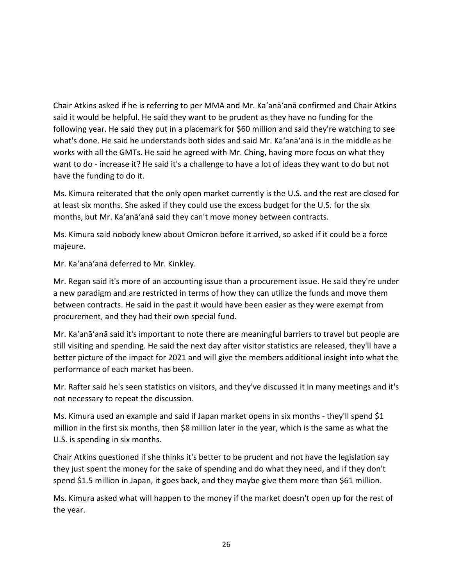Chair Atkins asked if he is referring to per MMA and Mr. Ka'anā'anā confirmed and Chair Atkins said it would be helpful. He said they want to be prudent as they have no funding for the following year. He said they put in a placemark for \$60 million and said they're watching to see what's done. He said he understands both sides and said Mr. Ka'anā'anā is in the middle as he works with all the GMTs. He said he agreed with Mr. Ching, having more focus on what they want to do - increase it? He said it's a challenge to have a lot of ideas they want to do but not have the funding to do it.

Ms. Kimura reiterated that the only open market currently is the U.S. and the rest are closed for at least six months. She asked if they could use the excess budget for the U.S. for the six months, but Mr. Ka'anā'anā said they can't move money between contracts.

Ms. Kimura said nobody knew about Omicron before it arrived, so asked if it could be a force majeure.

Mr. Ka'anā'anā deferred to Mr. Kinkley.

Mr. Regan said it's more of an accounting issue than a procurement issue. He said they're under a new paradigm and are restricted in terms of how they can utilize the funds and move them between contracts. He said in the past it would have been easier as they were exempt from procurement, and they had their own special fund.

Mr. Ka'anā'anā said it's important to note there are meaningful barriers to travel but people are still visiting and spending. He said the next day after visitor statistics are released, they'll have a better picture of the impact for 2021 and will give the members additional insight into what the performance of each market has been.

Mr. Rafter said he's seen statistics on visitors, and they've discussed it in many meetings and it's not necessary to repeat the discussion.

Ms. Kimura used an example and said if Japan market opens in six months - they'll spend \$1 million in the first six months, then \$8 million later in the year, which is the same as what the U.S. is spending in six months.

Chair Atkins questioned if she thinks it's better to be prudent and not have the legislation say they just spent the money for the sake of spending and do what they need, and if they don't spend \$1.5 million in Japan, it goes back, and they maybe give them more than \$61 million.

Ms. Kimura asked what will happen to the money if the market doesn't open up for the rest of the year.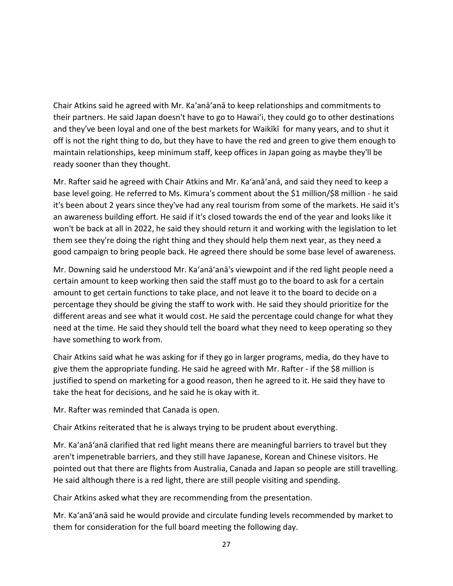Chair Atkins said he agreed with Mr. Ka'anā'anā to keep relationships and commitments to their partners. He said Japan doesn't have to go to Hawaiʻi, they could go to other destinations and they've been loyal and one of the best markets for Waikīkī for many years, and to shut it off is not the right thing to do, but they have to have the red and green to give them enough to maintain relationships, keep minimum staff, keep offices in Japan going as maybe they'll be ready sooner than they thought.

Mr. Rafter said he agreed with Chair Atkins and Mr. Ka'anā'anā, and said they need to keep a base level going. He referred to Ms. Kimura's comment about the \$1 million/\$8 million - he said it's been about 2 years since they've had any real tourism from some of the markets. He said it's an awareness building effort. He said if it's closed towards the end of the year and looks like it won't be back at all in 2022, he said they should return it and working with the legislation to let them see they're doing the right thing and they should help them next year, as they need a good campaign to bring people back. He agreed there should be some base level of awareness.

Mr. Downing said he understood Mr. Ka'anā'anā's viewpoint and if the red light people need a certain amount to keep working then said the staff must go to the board to ask for a certain amount to get certain functions to take place, and not leave it to the board to decide on a percentage they should be giving the staff to work with. He said they should prioritize for the different areas and see what it would cost. He said the percentage could change for what they need at the time. He said they should tell the board what they need to keep operating so they have something to work from.

Chair Atkins said what he was asking for if they go in larger programs, media, do they have to give them the appropriate funding. He said he agreed with Mr. Rafter - if the \$8 million is justified to spend on marketing for a good reason, then he agreed to it. He said they have to take the heat for decisions, and he said he is okay with it.

Mr. Rafter was reminded that Canada is open.

Chair Atkins reiterated that he is always trying to be prudent about everything.

Mr. Ka'anā'anā clarified that red light means there are meaningful barriers to travel but they aren't impenetrable barriers, and they still have Japanese, Korean and Chinese visitors. He pointed out that there are flights from Australia, Canada and Japan so people are still travelling. He said although there is a red light, there are still people visiting and spending.

Chair Atkins asked what they are recommending from the presentation.

Mr. Ka'anā'anā said he would provide and circulate funding levels recommended by market to them for consideration for the full board meeting the following day.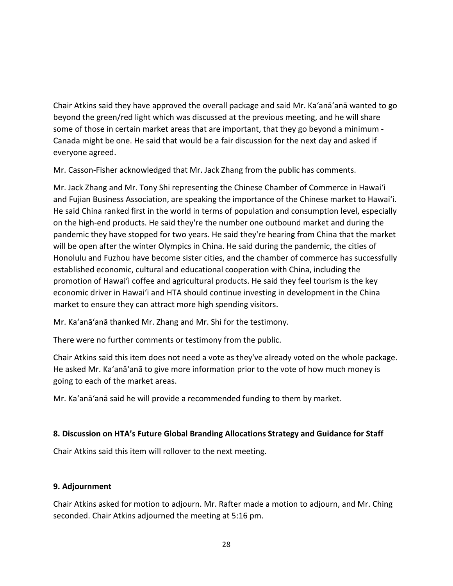Chair Atkins said they have approved the overall package and said Mr. Ka'anā'anā wanted to go beyond the green/red light which was discussed at the previous meeting, and he will share some of those in certain market areas that are important, that they go beyond a minimum - Canada might be one. He said that would be a fair discussion for the next day and asked if everyone agreed.

Mr. Casson-Fisher acknowledged that Mr. Jack Zhang from the public has comments.

Mr. Jack Zhang and Mr. Tony Shi representing the Chinese Chamber of Commerce in Hawaiʻi and Fujian Business Association, are speaking the importance of the Chinese market to Hawaiʻi. He said China ranked first in the world in terms of population and consumption level, especially on the high-end products. He said they're the number one outbound market and during the pandemic they have stopped for two years. He said they're hearing from China that the market will be open after the winter Olympics in China. He said during the pandemic, the cities of Honolulu and Fuzhou have become sister cities, and the chamber of commerce has successfully established economic, cultural and educational cooperation with China, including the promotion of Hawaiʻi coffee and agricultural products. He said they feel tourism is the key economic driver in Hawaiʻi and HTA should continue investing in development in the China market to ensure they can attract more high spending visitors.

Mr. Ka'anā'anā thanked Mr. Zhang and Mr. Shi for the testimony.

There were no further comments or testimony from the public.

Chair Atkins said this item does not need a vote as they've already voted on the whole package. He asked Mr. Ka'anā'anā to give more information prior to the vote of how much money is going to each of the market areas.

Mr. Ka'anā'anā said he will provide a recommended funding to them by market.

### **8. Discussion on HTA's Future Global Branding Allocations Strategy and Guidance for Staff**

Chair Atkins said this item will rollover to the next meeting.

### **9. Adjournment**

Chair Atkins asked for motion to adjourn. Mr. Rafter made a motion to adjourn, and Mr. Ching seconded. Chair Atkins adjourned the meeting at 5:16 pm.